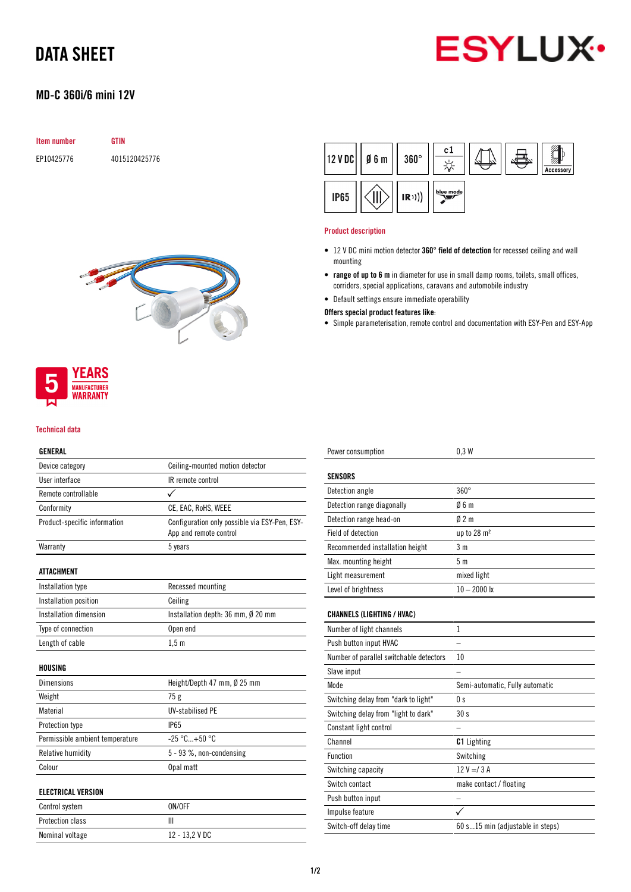# DATA SHEET

## MD-C 360i/6 mini 12V

## Item number GTIN EP10425776 4015120425776



### **YEARS MANUFACTURER** WARRANTY

#### Technical data

### GENERAL

| Device category                 | Ceiling-mounted motion detector                                         |  |  |
|---------------------------------|-------------------------------------------------------------------------|--|--|
| User interface                  | IR remote control                                                       |  |  |
| Remote controllable             | ✓                                                                       |  |  |
| Conformity                      | CE, EAC, RoHS, WEEE                                                     |  |  |
| Product-specific information    | Configuration only possible via ESY-Pen, ESY-<br>App and remote control |  |  |
| Warranty                        | 5 years                                                                 |  |  |
| ATTACHMENT                      |                                                                         |  |  |
| Installation type               | Recessed mounting                                                       |  |  |
| Installation position           | Ceiling                                                                 |  |  |
| Installation dimension          | Installation depth: 36 mm, Ø 20 mm                                      |  |  |
| Type of connection              | Open end                                                                |  |  |
| Length of cable                 | $1,5$ m                                                                 |  |  |
| HOUSING                         |                                                                         |  |  |
| <b>Dimensions</b>               | Height/Depth 47 mm, Ø 25 mm                                             |  |  |
| Weight                          | 75g                                                                     |  |  |
| Material                        | <b>UV-stabilised PE</b>                                                 |  |  |
| Protection type                 | <b>IP65</b>                                                             |  |  |
| Permissible ambient temperature | $-25 °C+50 °C$                                                          |  |  |
| <b>Relative humidity</b>        | 5 - 93 %, non-condensing                                                |  |  |
| Colour                          | Opal matt                                                               |  |  |
| <b>ELECTRICAL VERSION</b>       |                                                                         |  |  |
| Control system                  | ON/OFF                                                                  |  |  |
| <b>Protection class</b>         | Ш                                                                       |  |  |

Nominal voltage 12 - 13,2 V DC



#### Product description

- 12 V DC mini motion detector 360° field of detection for recessed ceiling and wall mounting
- range of up to 6 m in diameter for use in small damp rooms, toilets, small offices, corridors, special applications, caravans and automobile industry
- Default settings ensure immediate operability

Power consumption 0,3 W

Offers special product features like:

• Simple parameterisation, remote control and documentation with ESY-Pen and ESY-App

| <b>SENSORS</b>                          |                                  |  |
|-----------------------------------------|----------------------------------|--|
| Detection angle                         | $360^\circ$                      |  |
| Detection range diagonally              | 06m                              |  |
| Detection range head-on                 | $0/2$ m                          |  |
| Field of detection                      | up to 28 m <sup>2</sup>          |  |
| Recommended installation height         | 3 <sub>m</sub>                   |  |
| Max. mounting height                    | 5 <sub>m</sub>                   |  |
| Light measurement                       | mixed light                      |  |
| Level of brightness                     | $10 - 2000$ lx                   |  |
|                                         |                                  |  |
| <b>CHANNELS (LIGHTING / HVAC)</b>       |                                  |  |
| Number of light channels                | 1                                |  |
| Push button input HVAC                  |                                  |  |
| Number of parallel switchable detectors | 10                               |  |
| Slave input                             |                                  |  |
| Mode                                    | Semi-automatic, Fully automatic  |  |
| Switching delay from "dark to light"    | 0 <sub>s</sub>                   |  |
| Switching delay from "light to dark"    | 30 <sub>s</sub>                  |  |
| Constant light control                  |                                  |  |
| Channel                                 | <b>C1</b> Lighting               |  |
| <b>Function</b>                         | Switching                        |  |
| Switching capacity                      | $12 V = 73 A$                    |  |
| Switch contact                          | make contact / floating          |  |
| Push button input                       | $\equiv$                         |  |
| Impulse feature                         | ✓                                |  |
| Switch-off delay time                   | 60 s15 min (adjustable in steps) |  |
|                                         |                                  |  |